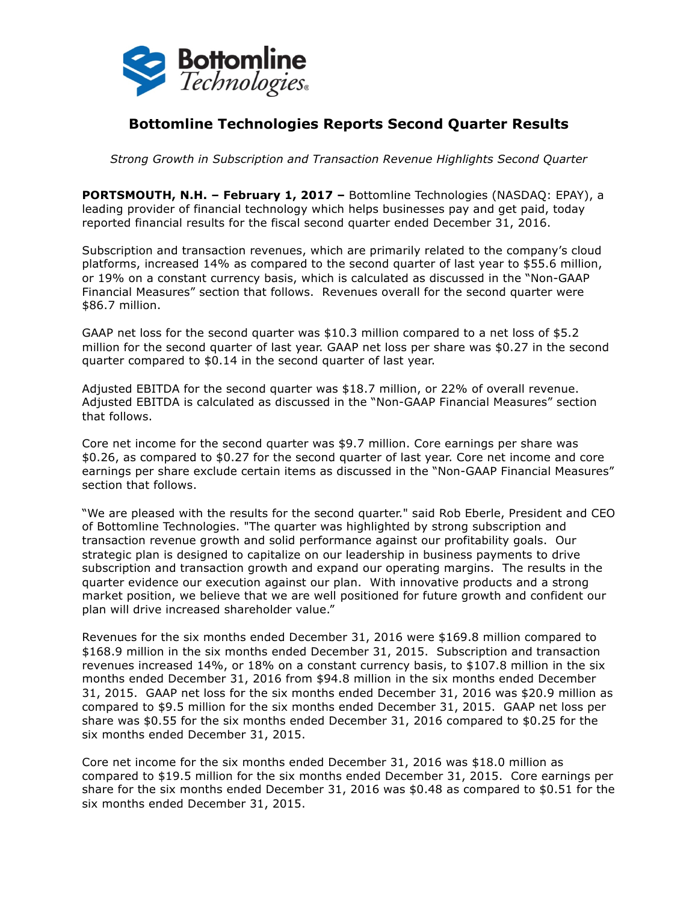

# **Bottomline Technologies Reports Second Quarter Results**

*Strong Growth in Subscription and Transaction Revenue Highlights Second Quarter*

**PORTSMOUTH, N.H. – February 1, 2017 –** Bottomline Technologies (NASDAQ: EPAY), a leading provider of financial technology which helps businesses pay and get paid, today reported financial results for the fiscal second quarter ended December 31, 2016.

Subscription and transaction revenues, which are primarily related to the company's cloud platforms, increased 14% as compared to the second quarter of last year to \$55.6 million, or 19% on a constant currency basis, which is calculated as discussed in the "Non-GAAP Financial Measures" section that follows. Revenues overall for the second quarter were \$86.7 million.

GAAP net loss for the second quarter was \$10.3 million compared to a net loss of \$5.2 million for the second quarter of last year. GAAP net loss per share was \$0.27 in the second quarter compared to \$0.14 in the second quarter of last year.

Adjusted EBITDA for the second quarter was \$18.7 million, or 22% of overall revenue. Adjusted EBITDA is calculated as discussed in the "Non-GAAP Financial Measures" section that follows.

Core net income for the second quarter was \$9.7 million. Core earnings per share was \$0.26, as compared to \$0.27 for the second quarter of last year. Core net income and core earnings per share exclude certain items as discussed in the "Non-GAAP Financial Measures" section that follows.

"We are pleased with the results for the second quarter." said Rob Eberle, President and CEO of Bottomline Technologies. "The quarter was highlighted by strong subscription and transaction revenue growth and solid performance against our profitability goals. Our strategic plan is designed to capitalize on our leadership in business payments to drive subscription and transaction growth and expand our operating margins. The results in the quarter evidence our execution against our plan. With innovative products and a strong market position, we believe that we are well positioned for future growth and confident our plan will drive increased shareholder value."

Revenues for the six months ended December 31, 2016 were \$169.8 million compared to \$168.9 million in the six months ended December 31, 2015. Subscription and transaction revenues increased 14%, or 18% on a constant currency basis, to \$107.8 million in the six months ended December 31, 2016 from \$94.8 million in the six months ended December 31, 2015. GAAP net loss for the six months ended December 31, 2016 was \$20.9 million as compared to \$9.5 million for the six months ended December 31, 2015. GAAP net loss per share was \$0.55 for the six months ended December 31, 2016 compared to \$0.25 for the six months ended December 31, 2015.

Core net income for the six months ended December 31, 2016 was \$18.0 million as compared to \$19.5 million for the six months ended December 31, 2015. Core earnings per share for the six months ended December 31, 2016 was \$0.48 as compared to \$0.51 for the six months ended December 31, 2015.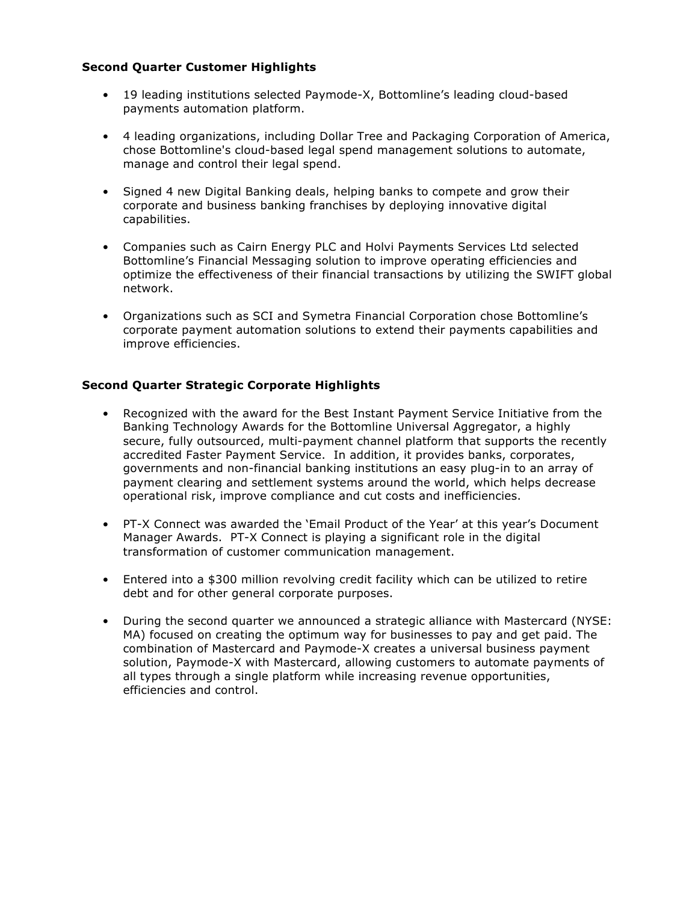## **Second Quarter Customer Highlights**

- 19 leading institutions selected Paymode-X, Bottomline's leading cloud-based payments automation platform.
- 4 leading organizations, including Dollar Tree and Packaging Corporation of America, chose Bottomline's cloud-based legal spend management solutions to automate, manage and control their legal spend.
- Signed 4 new Digital Banking deals, helping banks to compete and grow their corporate and business banking franchises by deploying innovative digital capabilities.
- Companies such as Cairn Energy PLC and Holvi Payments Services Ltd selected Bottomline's Financial Messaging solution to improve operating efficiencies and optimize the effectiveness of their financial transactions by utilizing the SWIFT global network.
- Organizations such as SCI and Symetra Financial Corporation chose Bottomline's corporate payment automation solutions to extend their payments capabilities and improve efficiencies.

## **Second Quarter Strategic Corporate Highlights**

- Recognized with the award for the Best Instant Payment Service Initiative from the Banking Technology Awards for the Bottomline Universal Aggregator, a highly secure, fully outsourced, multi-payment channel platform that supports the recently accredited Faster Payment Service. In addition, it provides banks, corporates, governments and non-financial banking institutions an easy plug-in to an array of payment clearing and settlement systems around the world, which helps decrease operational risk, improve compliance and cut costs and inefficiencies.
- PT-X Connect was awarded the 'Email Product of the Year' at this year's Document Manager Awards. PT-X Connect is playing a significant role in the digital transformation of customer communication management.
- Entered into a \$300 million revolving credit facility which can be utilized to retire debt and for other general corporate purposes.
- During the second quarter we announced a strategic alliance with Mastercard (NYSE: MA) focused on creating the optimum way for businesses to pay and get paid. The combination of Mastercard and Paymode-X creates a universal business payment solution, Paymode-X with Mastercard, allowing customers to automate payments of all types through a single platform while increasing revenue opportunities, efficiencies and control.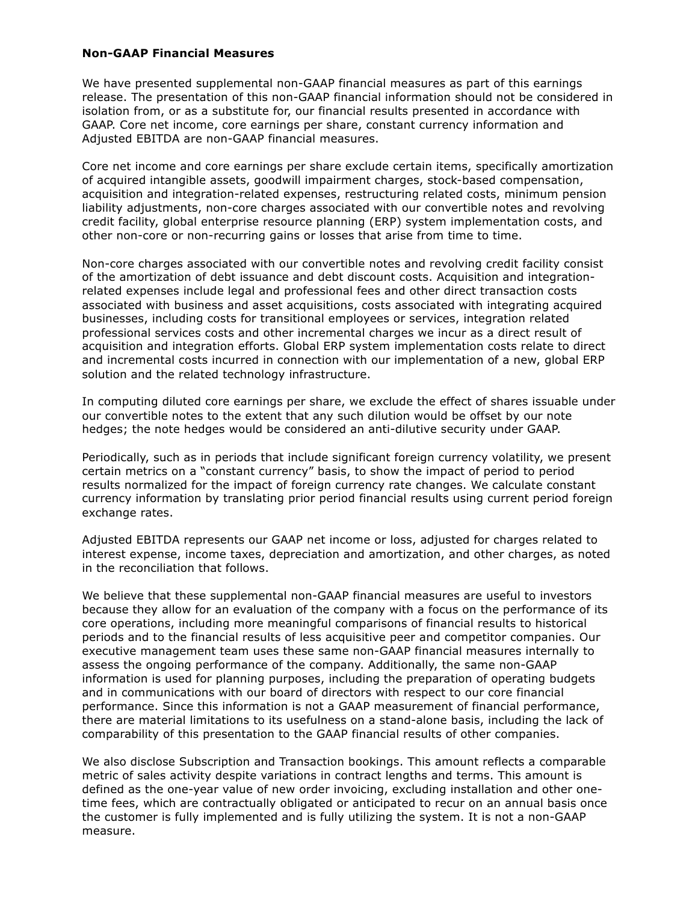### **Non-GAAP Financial Measures**

We have presented supplemental non-GAAP financial measures as part of this earnings release. The presentation of this non-GAAP financial information should not be considered in isolation from, or as a substitute for, our financial results presented in accordance with GAAP. Core net income, core earnings per share, constant currency information and Adjusted EBITDA are non-GAAP financial measures.

Core net income and core earnings per share exclude certain items, specifically amortization of acquired intangible assets, goodwill impairment charges, stock-based compensation, acquisition and integration-related expenses, restructuring related costs, minimum pension liability adjustments, non-core charges associated with our convertible notes and revolving credit facility, global enterprise resource planning (ERP) system implementation costs, and other non-core or non-recurring gains or losses that arise from time to time.

Non-core charges associated with our convertible notes and revolving credit facility consist of the amortization of debt issuance and debt discount costs. Acquisition and integrationrelated expenses include legal and professional fees and other direct transaction costs associated with business and asset acquisitions, costs associated with integrating acquired businesses, including costs for transitional employees or services, integration related professional services costs and other incremental charges we incur as a direct result of acquisition and integration efforts. Global ERP system implementation costs relate to direct and incremental costs incurred in connection with our implementation of a new, global ERP solution and the related technology infrastructure.

In computing diluted core earnings per share, we exclude the effect of shares issuable under our convertible notes to the extent that any such dilution would be offset by our note hedges; the note hedges would be considered an anti-dilutive security under GAAP.

Periodically, such as in periods that include significant foreign currency volatility, we present certain metrics on a "constant currency" basis, to show the impact of period to period results normalized for the impact of foreign currency rate changes. We calculate constant currency information by translating prior period financial results using current period foreign exchange rates.

Adjusted EBITDA represents our GAAP net income or loss, adjusted for charges related to interest expense, income taxes, depreciation and amortization, and other charges, as noted in the reconciliation that follows.

We believe that these supplemental non-GAAP financial measures are useful to investors because they allow for an evaluation of the company with a focus on the performance of its core operations, including more meaningful comparisons of financial results to historical periods and to the financial results of less acquisitive peer and competitor companies. Our executive management team uses these same non-GAAP financial measures internally to assess the ongoing performance of the company. Additionally, the same non-GAAP information is used for planning purposes, including the preparation of operating budgets and in communications with our board of directors with respect to our core financial performance. Since this information is not a GAAP measurement of financial performance, there are material limitations to its usefulness on a stand-alone basis, including the lack of comparability of this presentation to the GAAP financial results of other companies.

We also disclose Subscription and Transaction bookings. This amount reflects a comparable metric of sales activity despite variations in contract lengths and terms. This amount is defined as the one-year value of new order invoicing, excluding installation and other onetime fees, which are contractually obligated or anticipated to recur on an annual basis once the customer is fully implemented and is fully utilizing the system. It is not a non-GAAP measure.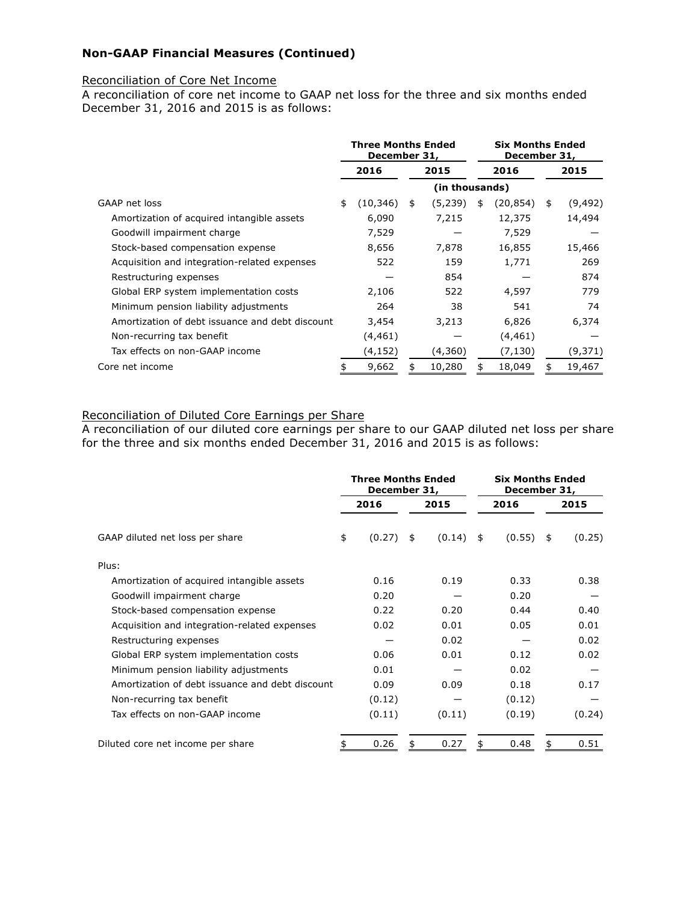## **Non-GAAP Financial Measures (Continued)**

### Reconciliation of Core Net Income

A reconciliation of core net income to GAAP net loss for the three and six months ended December 31, 2016 and 2015 is as follows:

|                                                 | <b>Three Months Ended</b><br>December 31, |              | <b>Six Months Ended</b> |    | December 31, |      |          |
|-------------------------------------------------|-------------------------------------------|--------------|-------------------------|----|--------------|------|----------|
|                                                 | 2016                                      | 2016<br>2015 |                         |    |              | 2015 |          |
|                                                 |                                           |              | (in thousands)          |    |              |      |          |
| GAAP net loss                                   | \$<br>(10, 346)                           | \$           | (5, 239)                | \$ | (20, 854)    | \$   | (9, 492) |
| Amortization of acquired intangible assets      | 6,090                                     |              | 7,215                   |    | 12,375       |      | 14,494   |
| Goodwill impairment charge                      | 7,529                                     |              |                         |    | 7,529        |      |          |
| Stock-based compensation expense                | 8,656                                     |              | 7,878                   |    | 16,855       |      | 15,466   |
| Acquisition and integration-related expenses    | 522                                       |              | 159                     |    | 1,771        |      | 269      |
| Restructuring expenses                          |                                           |              | 854                     |    |              |      | 874      |
| Global ERP system implementation costs          | 2,106                                     |              | 522                     |    | 4,597        |      | 779      |
| Minimum pension liability adjustments           | 264                                       |              | 38                      |    | 541          |      | 74       |
| Amortization of debt issuance and debt discount | 3,454                                     |              | 3,213                   |    | 6,826        |      | 6,374    |
| Non-recurring tax benefit                       | (4, 461)                                  |              |                         |    | (4, 461)     |      |          |
| Tax effects on non-GAAP income                  | (4, 152)                                  |              | (4,360)                 |    | (7, 130)     |      | (9,371)  |
| Core net income                                 | 9,662                                     |              | 10,280                  |    | 18,049       |      | 19,467   |

## Reconciliation of Diluted Core Earnings per Share

A reconciliation of our diluted core earnings per share to our GAAP diluted net loss per share for the three and six months ended December 31, 2016 and 2015 is as follows:

|                                                 | <b>Three Months Ended</b><br>December 31, |    |        | <b>Six Months Ended</b><br>December 31, |             |    |        |
|-------------------------------------------------|-------------------------------------------|----|--------|-----------------------------------------|-------------|----|--------|
|                                                 | 2016                                      |    | 2015   |                                         | 2016        |    | 2015   |
| GAAP diluted net loss per share                 | \$<br>(0.27)                              | \$ | (0.14) | \$                                      | $(0.55)$ \$ |    | (0.25) |
| Plus:                                           |                                           |    |        |                                         |             |    |        |
| Amortization of acquired intangible assets      | 0.16                                      |    | 0.19   |                                         | 0.33        |    | 0.38   |
| Goodwill impairment charge                      | 0.20                                      |    |        |                                         | 0.20        |    |        |
| Stock-based compensation expense                | 0.22                                      |    | 0.20   |                                         | 0.44        |    | 0.40   |
| Acquisition and integration-related expenses    | 0.02                                      |    | 0.01   |                                         | 0.05        |    | 0.01   |
| Restructuring expenses                          |                                           |    | 0.02   |                                         |             |    | 0.02   |
| Global ERP system implementation costs          | 0.06                                      |    | 0.01   |                                         | 0.12        |    | 0.02   |
| Minimum pension liability adjustments           | 0.01                                      |    |        |                                         | 0.02        |    |        |
| Amortization of debt issuance and debt discount | 0.09                                      |    | 0.09   |                                         | 0.18        |    | 0.17   |
| Non-recurring tax benefit                       | (0.12)                                    |    |        |                                         | (0.12)      |    |        |
| Tax effects on non-GAAP income                  | (0.11)                                    |    | (0.11) |                                         | (0.19)      |    | (0.24) |
| Diluted core net income per share               | 0.26                                      | \$ | 0.27   | \$                                      | 0.48        | \$ | 0.51   |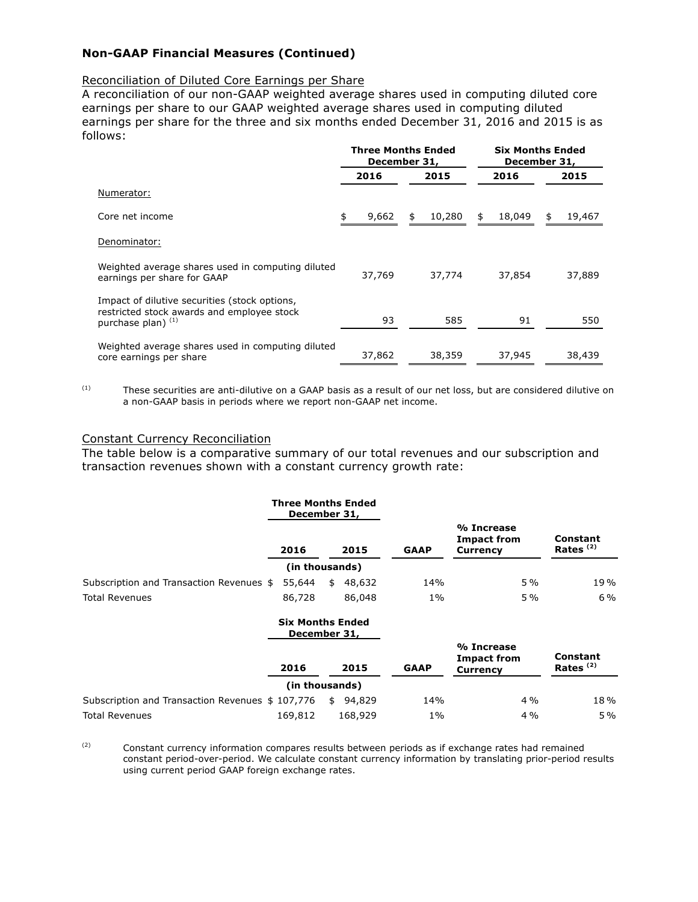## **Non-GAAP Financial Measures (Continued)**

#### Reconciliation of Diluted Core Earnings per Share

A reconciliation of our non-GAAP weighted average shares used in computing diluted core earnings per share to our GAAP weighted average shares used in computing diluted earnings per share for the three and six months ended December 31, 2016 and 2015 is as follows:

|                                                                                                                     |             | <b>Three Months Ended</b><br>December 31, | <b>Six Months Ended</b><br>December 31, |              |  |  |
|---------------------------------------------------------------------------------------------------------------------|-------------|-------------------------------------------|-----------------------------------------|--------------|--|--|
|                                                                                                                     | 2016        | 2015                                      | 2016                                    | 2015         |  |  |
| Numerator:                                                                                                          |             |                                           |                                         |              |  |  |
| Core net income                                                                                                     | 9,662<br>\$ | 10,280<br>\$                              | 18,049<br>\$                            | 19,467<br>\$ |  |  |
| Denominator:                                                                                                        |             |                                           |                                         |              |  |  |
| Weighted average shares used in computing diluted<br>earnings per share for GAAP                                    | 37,769      | 37,774                                    | 37,854                                  | 37,889       |  |  |
| Impact of dilutive securities (stock options,<br>restricted stock awards and employee stock<br>purchase plan) $(1)$ | 93          | 585                                       | 91                                      | 550          |  |  |
| Weighted average shares used in computing diluted<br>core earnings per share                                        | 37,862      | 38,359                                    | 37,945                                  | 38,439       |  |  |

 $(1)$  These securities are anti-dilutive on a GAAP basis as a result of our net loss, but are considered dilutive on a non-GAAP basis in periods where we report non-GAAP net income.

#### Constant Currency Reconciliation

The table below is a comparative summary of our total revenues and our subscription and transaction revenues shown with a constant currency growth rate:

|                                                  |         | <b>Three Months Ended</b><br>December 31, |             |                                                     |                                  |
|--------------------------------------------------|---------|-------------------------------------------|-------------|-----------------------------------------------------|----------------------------------|
|                                                  | 2016    | 2015                                      | <b>GAAP</b> | % Increase<br><b>Impact from</b><br><b>Currency</b> | Constant<br>Rates <sup>(2)</sup> |
|                                                  |         | (in thousands)                            |             |                                                     |                                  |
| Subscription and Transaction Revenues \$         | 55,644  | 48,632<br>\$                              | 14%         | 5%                                                  | 19%                              |
| <b>Total Revenues</b>                            | 86,728  | 86,048                                    | $1\%$       | 5%                                                  | $6\%$                            |
|                                                  |         | <b>Six Months Ended</b><br>December 31,   |             |                                                     |                                  |
|                                                  | 2016    | 2015                                      | <b>GAAP</b> | % Increase<br><b>Impact from</b><br><b>Currency</b> | Constant<br>Rates <sup>(2)</sup> |
|                                                  |         | (in thousands)                            |             |                                                     |                                  |
| Subscription and Transaction Revenues \$ 107,776 |         | 94,829<br>\$                              | 14%         | 4%                                                  | 18%                              |
| <b>Total Revenues</b>                            | 169,812 | 168,929                                   | $1\%$       | $4\%$                                               | $5\%$                            |

 $(2)$  Constant currency information compares results between periods as if exchange rates had remained constant period-over-period. We calculate constant currency information by translating prior-period results using current period GAAP foreign exchange rates.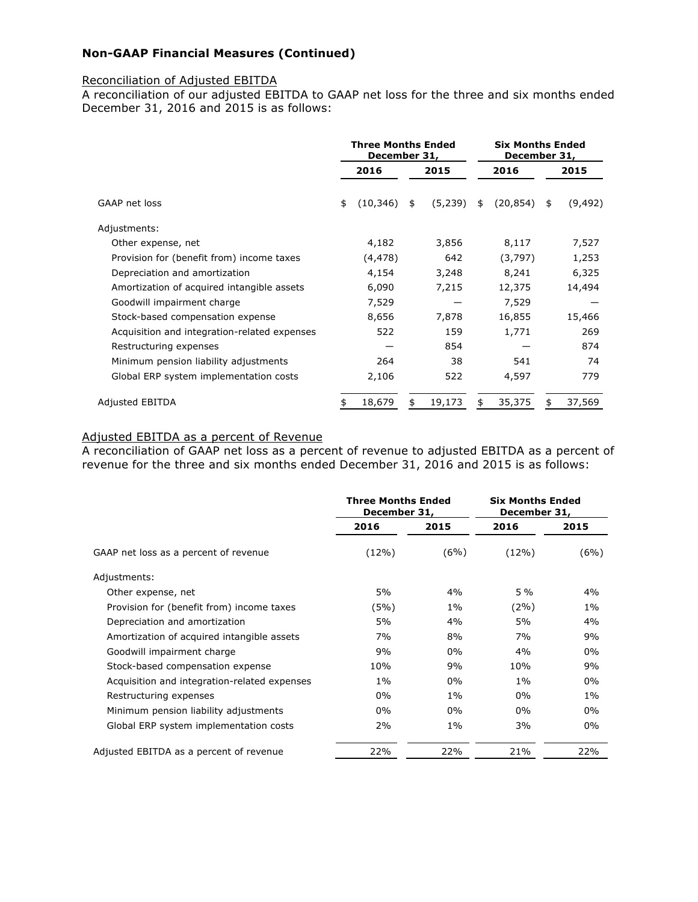## **Non-GAAP Financial Measures (Continued)**

### Reconciliation of Adjusted EBITDA

A reconciliation of our adjusted EBITDA to GAAP net loss for the three and six months ended December 31, 2016 and 2015 is as follows:

|                                              | <b>Three Months Ended</b><br>December 31, |           |    | <b>Six Months Ended</b><br>December 31, |    |           |    |          |
|----------------------------------------------|-------------------------------------------|-----------|----|-----------------------------------------|----|-----------|----|----------|
|                                              |                                           | 2016      |    | 2015                                    |    | 2016      |    | 2015     |
| GAAP net loss                                | \$                                        | (10, 346) | \$ | (5, 239)                                | \$ | (20, 854) | \$ | (9, 492) |
| Adjustments:                                 |                                           |           |    |                                         |    |           |    |          |
| Other expense, net                           |                                           | 4,182     |    | 3,856                                   |    | 8,117     |    | 7,527    |
| Provision for (benefit from) income taxes    |                                           | (4, 478)  |    | 642                                     |    | (3,797)   |    | 1,253    |
| Depreciation and amortization                |                                           | 4,154     |    | 3,248                                   |    | 8,241     |    | 6,325    |
| Amortization of acquired intangible assets   |                                           | 6,090     |    | 7,215                                   |    | 12,375    |    | 14,494   |
| Goodwill impairment charge                   |                                           | 7,529     |    |                                         |    | 7,529     |    |          |
| Stock-based compensation expense             |                                           | 8,656     |    | 7,878                                   |    | 16,855    |    | 15,466   |
| Acquisition and integration-related expenses |                                           | 522       |    | 159                                     |    | 1,771     |    | 269      |
| Restructuring expenses                       |                                           |           |    | 854                                     |    |           |    | 874      |
| Minimum pension liability adjustments        |                                           | 264       |    | 38                                      |    | 541       |    | 74       |
| Global ERP system implementation costs       |                                           | 2,106     |    | 522                                     |    | 4,597     |    | 779      |
| Adjusted EBITDA                              |                                           | 18,679    |    | 19,173                                  |    | 35,375    |    | 37,569   |

## Adjusted EBITDA as a percent of Revenue

A reconciliation of GAAP net loss as a percent of revenue to adjusted EBITDA as a percent of revenue for the three and six months ended December 31, 2016 and 2015 is as follows:

|                                              | <b>Three Months Ended</b><br>December 31, |       | <b>Six Months Ended</b><br>December 31, |      |
|----------------------------------------------|-------------------------------------------|-------|-----------------------------------------|------|
|                                              | 2016                                      | 2015  | 2016                                    | 2015 |
| GAAP net loss as a percent of revenue        | $(12\%)$                                  | (6%)  | $(12\%)$                                | (6%) |
| Adjustments:                                 |                                           |       |                                         |      |
| Other expense, net                           | 5%                                        | 4%    | $5\%$                                   | 4%   |
| Provision for (benefit from) income taxes    | (5%)                                      | $1\%$ | $(2\%)$                                 | 1%   |
| Depreciation and amortization                | 5%                                        | 4%    | 5%                                      | 4%   |
| Amortization of acquired intangible assets   | 7%                                        | 8%    | 7%                                      | 9%   |
| Goodwill impairment charge                   | 9%                                        | $0\%$ | 4%                                      | 0%   |
| Stock-based compensation expense             | 10%                                       | 9%    | 10%                                     | 9%   |
| Acquisition and integration-related expenses | $1\%$                                     | 0%    | $1\%$                                   | 0%   |
| Restructuring expenses                       | 0%                                        | $1\%$ | $0\%$                                   | 1%   |
| Minimum pension liability adjustments        | 0%                                        | 0%    | 0%                                      | 0%   |
| Global ERP system implementation costs       | 2%                                        | $1\%$ | 3%                                      | 0%   |
| Adjusted EBITDA as a percent of revenue      | 22%                                       | 22%   | 21%                                     | 22%  |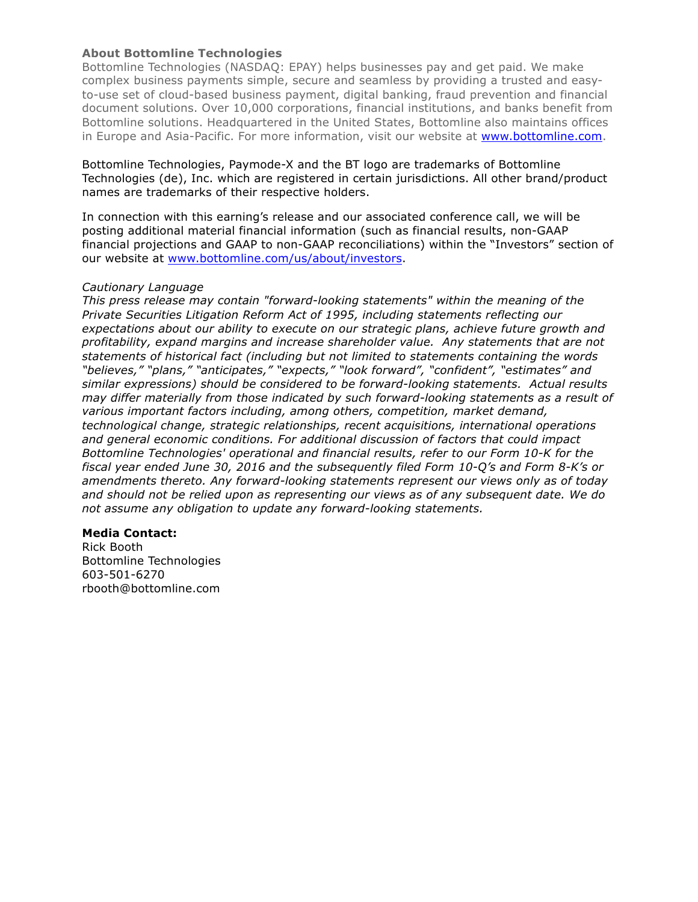## **About Bottomline Technologies**

Bottomline Technologies (NASDAQ: EPAY) helps businesses pay and get paid. We make complex business payments simple, secure and seamless by providing a trusted and easyto-use set of cloud-based business payment, digital banking, fraud prevention and financial document solutions. Over 10,000 corporations, financial institutions, and banks benefit from Bottomline solutions. Headquartered in the United States, Bottomline also maintains offices in Europe and Asia-Pacific. For more information, visit our website at www.bottomline.com.

Bottomline Technologies, Paymode-X and the BT logo are trademarks of Bottomline Technologies (de), Inc. which are registered in certain jurisdictions. All other brand/product names are trademarks of their respective holders.

In connection with this earning's release and our associated conference call, we will be posting additional material financial information (such as financial results, non-GAAP financial projections and GAAP to non-GAAP reconciliations) within the "Investors" section of our website at www.bottomline.com/us/about/investors.

### *Cautionary Language*

*This press release may contain "forward-looking statements" within the meaning of the Private Securities Litigation Reform Act of 1995, including statements reflecting our expectations about our ability to execute on our strategic plans, achieve future growth and profitability, expand margins and increase shareholder value. Any statements that are not statements of historical fact (including but not limited to statements containing the words "believes," "plans," "anticipates," "expects," "look forward", "confident", "estimates" and similar expressions) should be considered to be forward-looking statements. Actual results may differ materially from those indicated by such forward-looking statements as a result of various important factors including, among others, competition, market demand, technological change, strategic relationships, recent acquisitions, international operations and general economic conditions. For additional discussion of factors that could impact Bottomline Technologies' operational and financial results, refer to our Form 10-K for the fiscal year ended June 30, 2016 and the subsequently filed Form 10-Q's and Form 8-K's or amendments thereto. Any forward-looking statements represent our views only as of today and should not be relied upon as representing our views as of any subsequent date. We do not assume any obligation to update any forward-looking statements.*

## **Media Contact:**

Rick Booth Bottomline Technologies 603-501-6270 rbooth@bottomline.com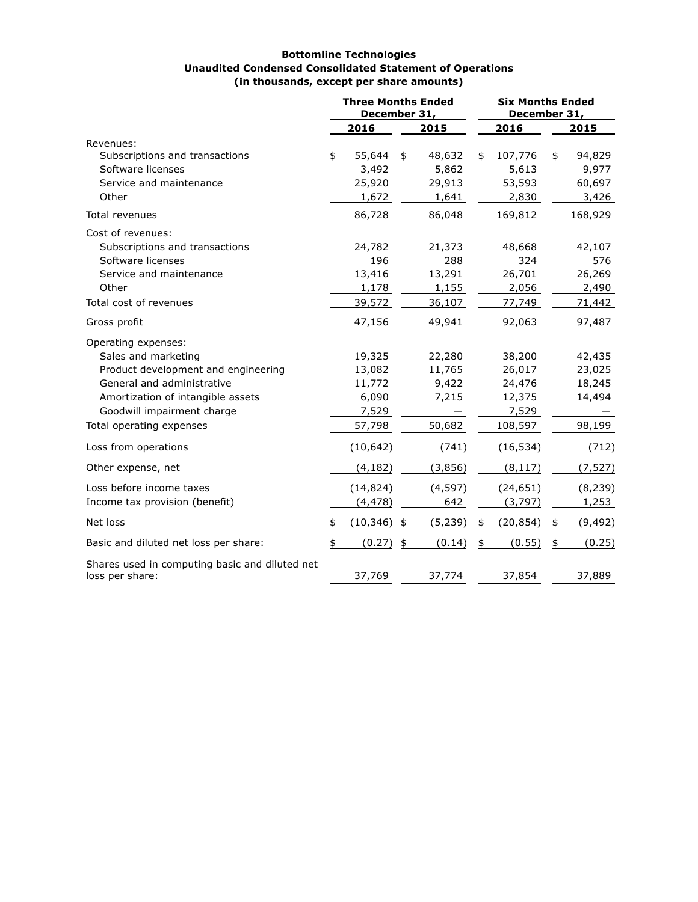#### **Bottomline Technologies Unaudited Condensed Consolidated Statement of Operations (in thousands, except per share amounts)**

|                                                                                                                                                                                    | <b>Three Months Ended</b><br>December 31, |                                              |    | <b>Six Months Ended</b><br>December 31,    |    |                                               |    |                                            |
|------------------------------------------------------------------------------------------------------------------------------------------------------------------------------------|-------------------------------------------|----------------------------------------------|----|--------------------------------------------|----|-----------------------------------------------|----|--------------------------------------------|
|                                                                                                                                                                                    |                                           | 2016                                         |    | 2015                                       |    | 2016                                          |    | 2015                                       |
| Revenues:<br>Subscriptions and transactions<br>Software licenses<br>Service and maintenance<br>Other                                                                               | \$                                        | 55,644<br>3,492<br>25,920<br>1,672           | \$ | 48,632<br>5,862<br>29,913<br>1,641         | \$ | 107,776<br>5,613<br>53,593<br>2,830           | \$ | 94,829<br>9,977<br>60,697<br>3,426         |
| Total revenues                                                                                                                                                                     |                                           | 86,728                                       |    | 86,048                                     |    | 169,812                                       |    | 168,929                                    |
| Cost of revenues:<br>Subscriptions and transactions<br>Software licenses<br>Service and maintenance<br>Other<br>Total cost of revenues                                             |                                           | 24,782<br>196<br>13,416<br>1,178<br>39,572   |    | 21,373<br>288<br>13,291<br>1,155<br>36,107 |    | 48,668<br>324<br>26,701<br>2,056<br>77,749    |    | 42,107<br>576<br>26,269<br>2,490<br>71,442 |
| Gross profit                                                                                                                                                                       |                                           | 47,156                                       |    | 49,941                                     |    | 92,063                                        |    | 97,487                                     |
| Operating expenses:<br>Sales and marketing<br>Product development and engineering<br>General and administrative<br>Amortization of intangible assets<br>Goodwill impairment charge |                                           | 19,325<br>13,082<br>11,772<br>6,090<br>7,529 |    | 22,280<br>11,765<br>9,422<br>7,215         |    | 38,200<br>26,017<br>24,476<br>12,375<br>7,529 |    | 42,435<br>23,025<br>18,245<br>14,494       |
| Total operating expenses                                                                                                                                                           |                                           | 57,798                                       |    | 50,682                                     |    | 108,597                                       |    | 98,199                                     |
| Loss from operations                                                                                                                                                               |                                           | (10, 642)                                    |    | (741)                                      |    | (16, 534)                                     |    | (712)                                      |
| Other expense, net                                                                                                                                                                 |                                           | (4, 182)                                     |    | (3,856)                                    |    | (8, 117)                                      |    | (7, 527)                                   |
| Loss before income taxes<br>Income tax provision (benefit)                                                                                                                         |                                           | (14, 824)<br>(4, 478)                        |    | (4, 597)<br>642                            |    | (24, 651)<br>(3, 797)                         |    | (8, 239)<br>1,253                          |
| Net loss                                                                                                                                                                           | \$                                        | $(10, 346)$ \$                               |    | (5, 239)                                   | \$ | (20, 854)                                     | \$ | (9, 492)                                   |
| Basic and diluted net loss per share:                                                                                                                                              |                                           | (0.27)                                       | \$ | (0.14)                                     | \$ | (0.55)                                        | \$ | (0.25)                                     |
| Shares used in computing basic and diluted net<br>loss per share:                                                                                                                  |                                           | 37,769                                       |    | 37,774                                     |    | 37,854                                        |    | 37,889                                     |